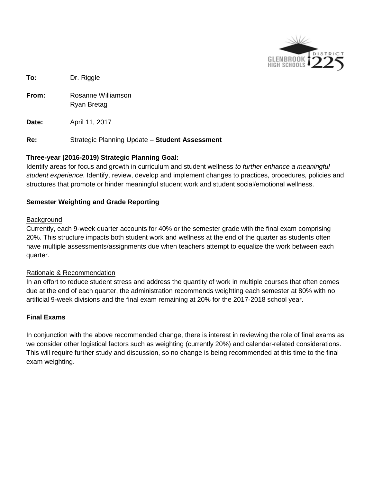

**To:** Dr. Riggle

**From:** Rosanne Williamson Ryan Bretag

**Date:** April 11, 2017

**Re:** Strategic Planning Update – **Student Assessment**

# **Three-year (2016-2019) Strategic Planning Goal:**

Identify areas for focus and growth in curriculum and student wellness *to further enhance a meaningful student experience*. Identify, review, develop and implement changes to practices, procedures, policies and structures that promote or hinder meaningful student work and student social/emotional wellness.

# **Semester Weighting and Grade Reporting**

### **Background**

Currently, each 9-week quarter accounts for 40% or the semester grade with the final exam comprising 20%. This structure impacts both student work and wellness at the end of the quarter as students often have multiple assessments/assignments due when teachers attempt to equalize the work between each quarter.

### Rationale & Recommendation

In an effort to reduce student stress and address the quantity of work in multiple courses that often comes due at the end of each quarter, the administration recommends weighting each semester at 80% with no artificial 9-week divisions and the final exam remaining at 20% for the 2017-2018 school year.

### **Final Exams**

In conjunction with the above recommended change, there is interest in reviewing the role of final exams as we consider other logistical factors such as weighting (currently 20%) and calendar-related considerations. This will require further study and discussion, so no change is being recommended at this time to the final exam weighting.